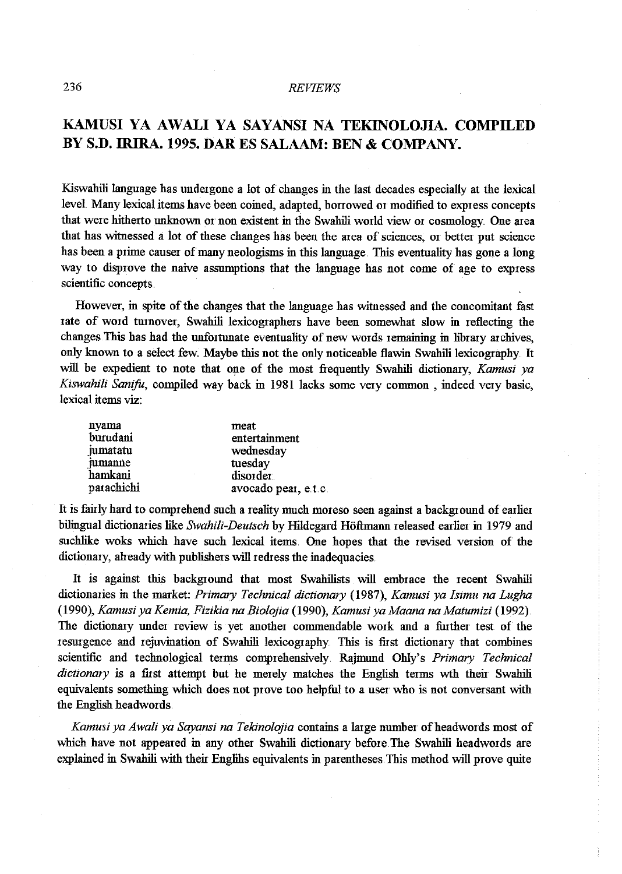## 236 *REVIEWS*

# **KAMUSI YA AWALI YA SAYANSI NA TEKINOLOJIA. COMPILED BY S.D. IRIRA. 1995. DARES SALAAM: BEN & COMPANY.**

Kiswahili language has undergone a lot of changes in the last decades especially at the lexical level. Many lexical items have been coined, adapted, borrowed or modified to express concepts that were hitherto unknown or non existent in the Swahili world view 01 cosmology. One area that has witnessed a lot of these changes has been the area of sciences, or better put science has been a prime causer of many neologisms in this language. This eventuality has gone a long way to disprove the naive assumptions that the language has not come of age to express scientific concepts.

However, in spite of the changes that the language has witnessed and the concomitant fast rate of word turnover, Swahili lexicographers have been somewhat slow in reflecting the changes. This has had the unfortunate eventuality of new words remaining in library archives, only known to a select few. Maybe this not the only noticeable flawin Swahili lexicography. It will be expedient to note that one of the most frequently Swahili dictionary, *Kamusi ya Kiswahili Sanifo,* compiled way back in 1981 lacks some very common , indeed very basic, lexical items viz:

| nyama      | meat                 |
|------------|----------------------|
| burudani   | entertainment        |
| jumatatu   | wednesday            |
| jumanne    | tuesday              |
| hamkani    | disorder             |
| parachichi | avocado pear, e.t.c. |

It is fairly hard to comprehend such a reality nmch moreso seen against a background of earlier bilingual dictionaries like *Swahili-Deutsch* by Hildegard Hoftmann released earlier in 1979 and suchlike woks which have such lexical items. One hopes that the revised version of the dictionary, already with publishers will redress the inadequacies.

It is against this background that most Swahilists will embrace the recent Swahili dictionaries in the market: *Primary Technical dictionary* (1987), *Kamusi ya Isimu na Lugha*  (1990), *Kamusiya Kemia, Fizikia na Biolojia* (1990), *Kamusi ya Maana na Matumizi* (1992). The dictionary under review is yet another commendable work and a further test of the resurgence and rejuvination of Swahili lexicography. This is first dictionary that combines scientific and technological terms comprehensively. Rajmund Ohly's *Primary Technical dictionary* is a first attempt but he merely matches the English terms wth their Swahili equivalents something which does not prove too helpful to a user who is not conversant with the English headwords.

*Kamusiya Awali ya Sayansi na Tekinolojia* contains a large number ofheadwords most of which have not appeared in any other Swahili dictionary before. The Swahili headwords are explained in Swahili with their Englihs equivalents in parentheses. This method will prove quite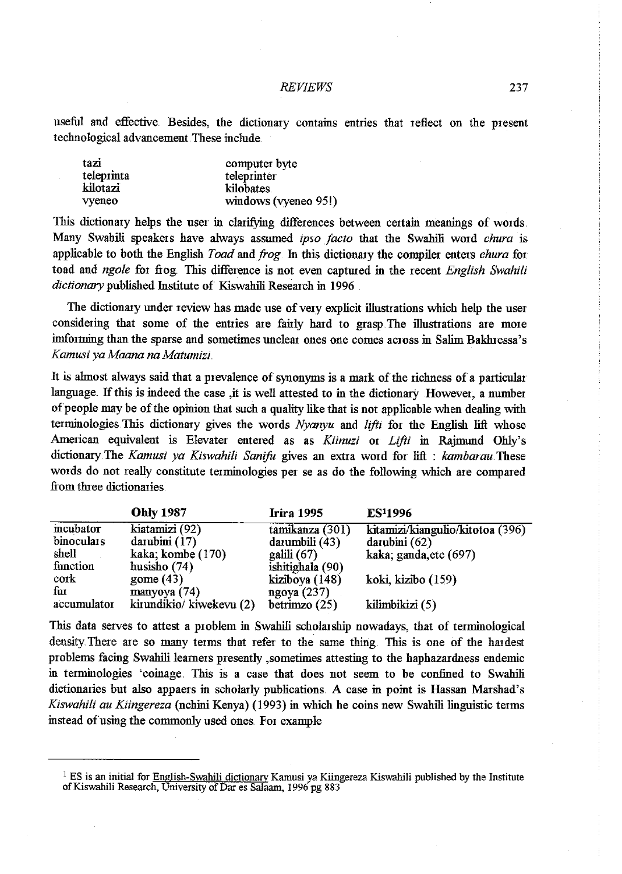#### *REVIEWS* 237

useful and effective. Besides, the dictionary contains entries that reflect on the present technological advancement. These include.

| tazi       | computer byte        |
|------------|----------------------|
| teleprinta | teleprinter          |
| kilotazi   | kilobates            |
| vyeneo     | windows (vyeneo 95!) |

This dictionary helps the user in clarifying differences between certain meanings of words. Many Swahili speakers have always assumed *ipso facto* that the Swahili word *chura* is applicable to both the English *Toad* and *frog* 1n this dictionary the compiler enters *chura* for toad and *ngole* for frog. This difference is not even captured in the recent *English Swahili dictionary* published Institute of Kiswahili Research in 1996

The dictionary under review has made use of very explicit illustrations which help the user considering that some of the entries are fairly hard to grasp. The illustrations are more inrforming than the sparse and sometimes unclear ones one comes across in Salim Bakluessa's *Kamusi ya Maana na Matumizi.* 

It is ahnost always said that a prevalence of synonyms is a mark of the richness of a particular language. If this is indeed the case ,it is well attested to in the dictionary However, a number of people may be of the opinion that such a quality like that is not applicable when dealing with terminologies. This dictionary gives the words *Nyanyu* and *lifti* for the English lift whose American equivalent is Elevater entered as as *Kiinuzi* or *Lifti* in Rajmund Ohly's dictionary.The *Kamusi ya Kiswahili Sanifo* gives an extra word for lifl : *kambarau.These*  words do not really constimte terminologies per se as do the following which are compared from three dictionaries.

|             | <b>Ohly 1987</b>        | <b>Irira 1995</b>   | ES <sup>1</sup> 1996             |
|-------------|-------------------------|---------------------|----------------------------------|
| incubator   | kiatamizi (92)          | tamikanza (301)     | kitamizi/kiangulio/kitotoa (396) |
| binoculars  | darubini (17)           | $d$ arumbili $(43)$ | darubini (62)                    |
| shell       | kaka; kombe (170)       | $\text{galili}(67)$ | kaka; ganda, etc (697)           |
| function    | husisho $(74)$          | ishitighala (90)    |                                  |
| $\cot k$    | gome $(43)$             | kiziboya (148)      | koki, kizibo (159)               |
| fur         | manyoya $(74)$          | ngoya $(237)$       |                                  |
| accumulator | kirundikio/kiwekevu (2) | betrimzo $(25)$     | kilimbikizi (5)                  |

This data serves to attest a p10blem in Swahili scholar ship nowadays, that of terminological density. There are so many terms that refer to the same thing. This is one of the hardest problems facing Swahili learners presently ,sometimes attesting to the haphazardness endemic in terminologies 'coinage. This is a case that does not seem to be confined to Swahili dictionaries but also appaers in scholarly publications. A case in point is Hassan Marshad's *Kiswahili au Kiingereza* (nchini Kenya) (1993) in which he coins new Swahili linguistic terms instead of using the commonly used ones. For example

 $1$  ES is an initial for English-Swahili dictionary Kamusi ya Kiingereza Kiswahili published by the Institute of Kiswahili Research, University of Dar es Salaam, 1996 pg 883